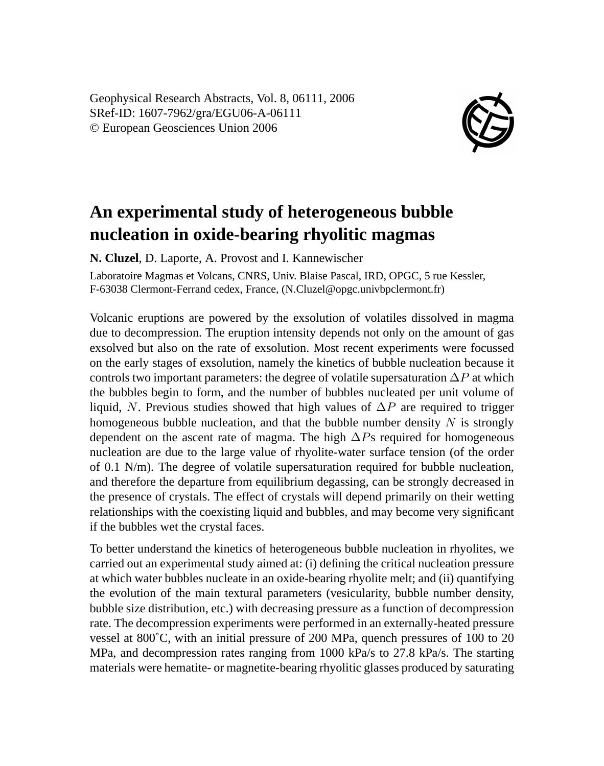Geophysical Research Abstracts, Vol. 8, 06111, 2006 SRef-ID: 1607-7962/gra/EGU06-A-06111 © European Geosciences Union 2006



## **An experimental study of heterogeneous bubble nucleation in oxide-bearing rhyolitic magmas**

**N. Cluzel**, D. Laporte, A. Provost and I. Kannewischer

Laboratoire Magmas et Volcans, CNRS, Univ. Blaise Pascal, IRD, OPGC, 5 rue Kessler, F-63038 Clermont-Ferrand cedex, France, (N.Cluzel@opgc.univbpclermont.fr)

Volcanic eruptions are powered by the exsolution of volatiles dissolved in magma due to decompression. The eruption intensity depends not only on the amount of gas exsolved but also on the rate of exsolution. Most recent experiments were focussed on the early stages of exsolution, namely the kinetics of bubble nucleation because it controls two important parameters: the degree of volatile supersaturation  $\Delta P$  at which the bubbles begin to form, and the number of bubbles nucleated per unit volume of liquid, N. Previous studies showed that high values of  $\Delta P$  are required to trigger homogeneous bubble nucleation, and that the bubble number density  $N$  is strongly dependent on the ascent rate of magma. The high ∆Ps required for homogeneous nucleation are due to the large value of rhyolite-water surface tension (of the order of 0.1 N/m). The degree of volatile supersaturation required for bubble nucleation, and therefore the departure from equilibrium degassing, can be strongly decreased in the presence of crystals. The effect of crystals will depend primarily on their wetting relationships with the coexisting liquid and bubbles, and may become very significant if the bubbles wet the crystal faces.

To better understand the kinetics of heterogeneous bubble nucleation in rhyolites, we carried out an experimental study aimed at: (i) defining the critical nucleation pressure at which water bubbles nucleate in an oxide-bearing rhyolite melt; and (ii) quantifying the evolution of the main textural parameters (vesicularity, bubble number density, bubble size distribution, etc.) with decreasing pressure as a function of decompression rate. The decompression experiments were performed in an externally-heated pressure vessel at 800˚C, with an initial pressure of 200 MPa, quench pressures of 100 to 20 MPa, and decompression rates ranging from 1000 kPa/s to 27.8 kPa/s. The starting materials were hematite- or magnetite-bearing rhyolitic glasses produced by saturating